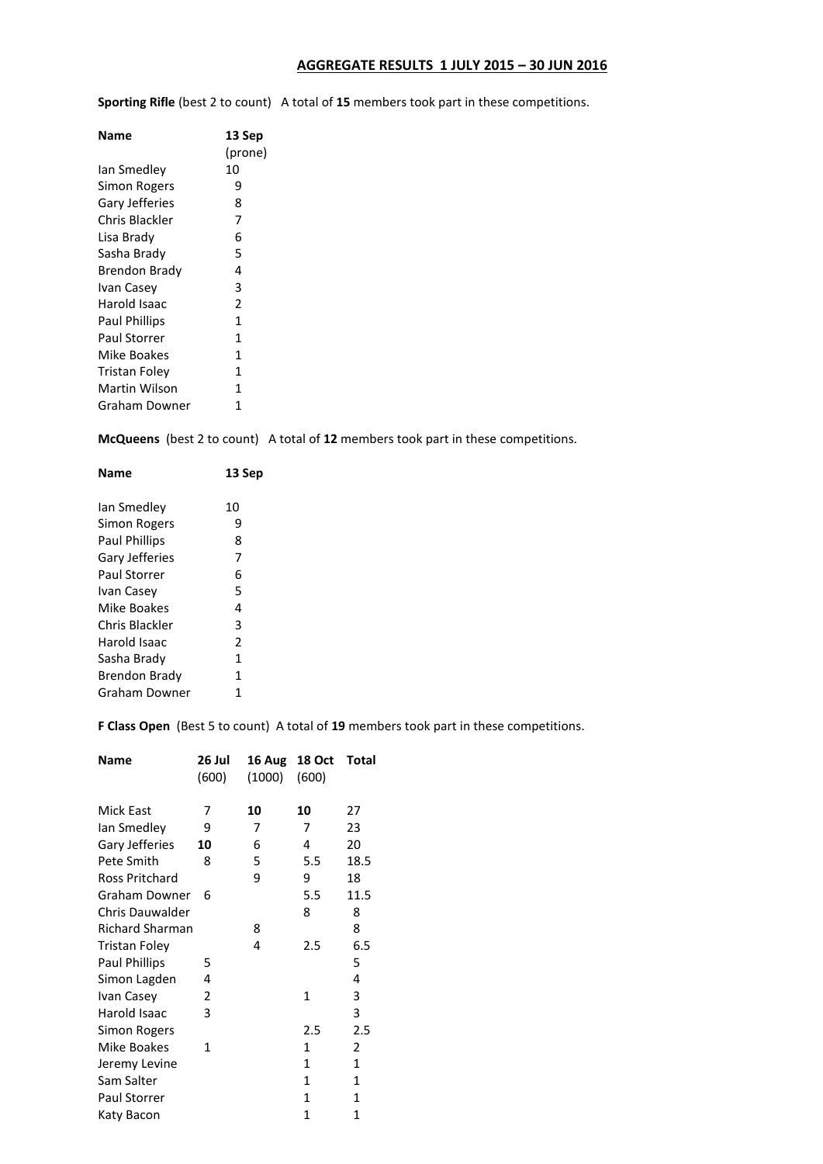## **AGGREGATE RESULTS 1 JULY 2015 – 30 JUN 2016**

**Sporting Rifle** (best 2 to count) A total of **15** members took part in these competitions.

| <b>Name</b>          | 13 Sep       |
|----------------------|--------------|
|                      | (prone)      |
| Ian Smedlev          | 10           |
| Simon Rogers         | 9            |
| Gary Jefferies       | 8            |
| Chris Blackler       | 7            |
| Lisa Brady           | 6            |
| Sasha Brady          | 5            |
| Brendon Brady        | 4            |
| Ivan Casev           | 3            |
| Harold Isaac         | 2            |
| <b>Paul Phillips</b> | $\mathbf{1}$ |
| Paul Storrer         | 1            |
| Mike Boakes          | 1            |
| Tristan Folev        | $\mathbf{1}$ |
| Martin Wilson        | $\mathbf{1}$ |
| Graham Downer        | 1            |

**McQueens** (best 2 to count) A total of **12** members took part in these competitions.

| Name                 | 13 Sep                   |
|----------------------|--------------------------|
| Ian Smedley          | 10                       |
| Simon Rogers         | 9                        |
| <b>Paul Phillips</b> | 8                        |
| Gary Jefferies       | 7                        |
| Paul Storrer         | 6                        |
| Ivan Casey           | 5                        |
| Mike Boakes          | 4                        |
| Chris Blackler       | 3                        |
| Harold Isaac         | $\overline{\phantom{a}}$ |
| Sasha Brady          | 1                        |
| Brendon Brady        | 1                        |
| Graham Downer        | 1                        |
|                      |                          |

**F Class Open** (Best 5 to count) A total of **19** members took part in these competitions.

| <b>Name</b>            | 26 Jul<br>(600) | 16 Aug<br>(1000) | <b>18 Oct</b><br>(600) | Total        |
|------------------------|-----------------|------------------|------------------------|--------------|
| Mick East              | 7               | 10               | 10                     | 27           |
| Ian Smedley            | 9               | 7                | 7                      | 23           |
| Gary Jefferies         | 10              | 6                | 4                      | 20           |
| Pete Smith             | 8               | 5                | 5.5                    | 18.5         |
| Ross Pritchard         |                 | 9                | 9                      | 18           |
| Graham Downer          | 6               |                  | 5.5                    | 11.5         |
| <b>Chris Dauwalder</b> |                 |                  | 8                      | 8            |
| <b>Richard Sharman</b> |                 | 8                |                        | 8            |
| Tristan Foley          |                 | 4                | 2.5                    | 6.5          |
| <b>Paul Phillips</b>   | 5               |                  |                        | 5            |
| Simon Lagden           | 4               |                  |                        | 4            |
| Ivan Casey             | 2               |                  | 1                      | 3            |
| Harold Isaac           | 3               |                  |                        | 3            |
| Simon Rogers           |                 |                  | 2.5                    | 2.5          |
| Mike Boakes            | 1               |                  | 1                      | 2            |
| Jeremy Levine          |                 |                  | 1                      | 1            |
| Sam Salter             |                 |                  | 1                      | 1            |
| <b>Paul Storrer</b>    |                 |                  | 1                      | $\mathbf{1}$ |
| Katy Bacon             |                 |                  | 1                      | 1            |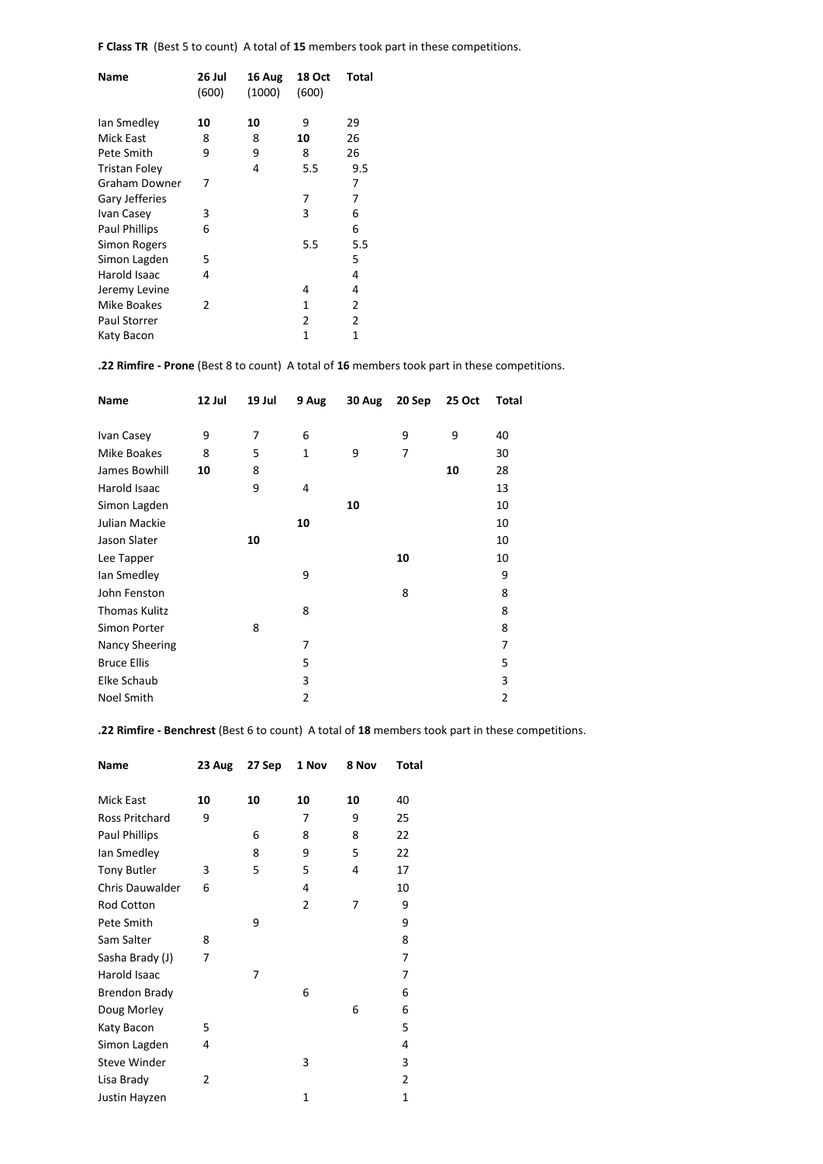**F Class TR** (Best 5 to count) A total of **15** members took part in these competitions.

| Name                 | 26 Jul<br>(600) | 16 Aug<br>(1000) | 18 Oct<br>(600) | Total |
|----------------------|-----------------|------------------|-----------------|-------|
| lan Smedley          | 10              | 10               | 9               | 29    |
| Mick East            | 8               | 8                | 10              | 26    |
| Pete Smith           | 9               | 9                | 8               | 26    |
| <b>Tristan Foley</b> |                 | 4                | 5.5             | 9.5   |
| Graham Downer        | 7               |                  |                 | 7     |
| Gary Jefferies       |                 |                  | 7               | 7     |
| Ivan Casey           | 3               |                  | 3               | 6     |
| <b>Paul Phillips</b> | 6               |                  |                 | 6     |
| <b>Simon Rogers</b>  |                 |                  | 5.5             | 5.5   |
| Simon Lagden         | 5               |                  |                 | 5     |
| Harold Isaac         | 4               |                  |                 | 4     |
| Jeremy Levine        |                 |                  | 4               | 4     |
| Mike Boakes          | 2               |                  | 1               | 2     |
| <b>Paul Storrer</b>  |                 |                  | 2               | 2     |
| Katy Bacon           |                 |                  | $\mathbf{1}$    | 1     |
|                      |                 |                  |                 |       |

**.22 Rimfire - Prone** (Best 8 to count) A total of **16** members took part in these competitions.

| Name                 | 12 Jul | 19 Jul | 9 Aug        | 30 Aug | 20 Sep | 25 Oct | Total          |
|----------------------|--------|--------|--------------|--------|--------|--------|----------------|
|                      |        |        |              |        |        |        |                |
| Ivan Casey           | 9      | 7      | 6            |        | 9      | 9      | 40             |
| Mike Boakes          | 8      | 5      | $\mathbf{1}$ | 9      | 7      |        | 30             |
| James Bowhill        | 10     | 8      |              |        |        | 10     | 28             |
| Harold Isaac         |        | 9      | 4            |        |        |        | 13             |
| Simon Lagden         |        |        |              | 10     |        |        | 10             |
| Julian Mackie        |        |        | 10           |        |        |        | 10             |
| Jason Slater         |        | 10     |              |        |        |        | 10             |
| Lee Tapper           |        |        |              |        | 10     |        | 10             |
| lan Smedley          |        |        | 9            |        |        |        | 9              |
| John Fenston         |        |        |              |        | 8      |        | 8              |
| <b>Thomas Kulitz</b> |        |        | 8            |        |        |        | 8              |
| Simon Porter         |        | 8      |              |        |        |        | 8              |
| Nancy Sheering       |        |        | 7            |        |        |        | 7              |
| <b>Bruce Ellis</b>   |        |        | 5            |        |        |        | 5              |
| Elke Schaub          |        |        | 3            |        |        |        | 3              |
| Noel Smith           |        |        | 2            |        |        |        | $\overline{2}$ |

**.22 Rimfire - Benchrest** (Best 6 to count) A total of **18** members took part in these competitions.

| <b>Name</b>            | 23 Aug | 27 Sep | 1 Nov          | 8 Nov | Total        |
|------------------------|--------|--------|----------------|-------|--------------|
| Mick East              | 10     | 10     | 10             | 10    | 40           |
| Ross Pritchard         | 9      |        | 7              | 9     | 25           |
| Paul Phillips          |        | 6      | 8              | 8     | 22           |
| lan Smedley            |        | 8      | 9              | 5     | 22           |
| <b>Tony Butler</b>     | 3      | 5      | 5              | 4     | 17           |
| <b>Chris Dauwalder</b> | 6      |        | 4              |       | 10           |
| Rod Cotton             |        |        | $\overline{2}$ | 7     | 9            |
| Pete Smith             |        | 9      |                |       | 9            |
| Sam Salter             | 8      |        |                |       | 8            |
| Sasha Brady (J)        | 7      |        |                |       | 7            |
| Harold Isaac           |        | 7      |                |       | 7            |
| <b>Brendon Brady</b>   |        |        | 6              |       | 6            |
| Doug Morley            |        |        |                | 6     | 6            |
| Katy Bacon             | 5      |        |                |       | 5            |
| Simon Lagden           | 4      |        |                |       | 4            |
| <b>Steve Winder</b>    |        |        | 3              |       | 3            |
| Lisa Brady             | 2      |        |                |       | 2            |
| Justin Hayzen          |        |        | 1              |       | $\mathbf{1}$ |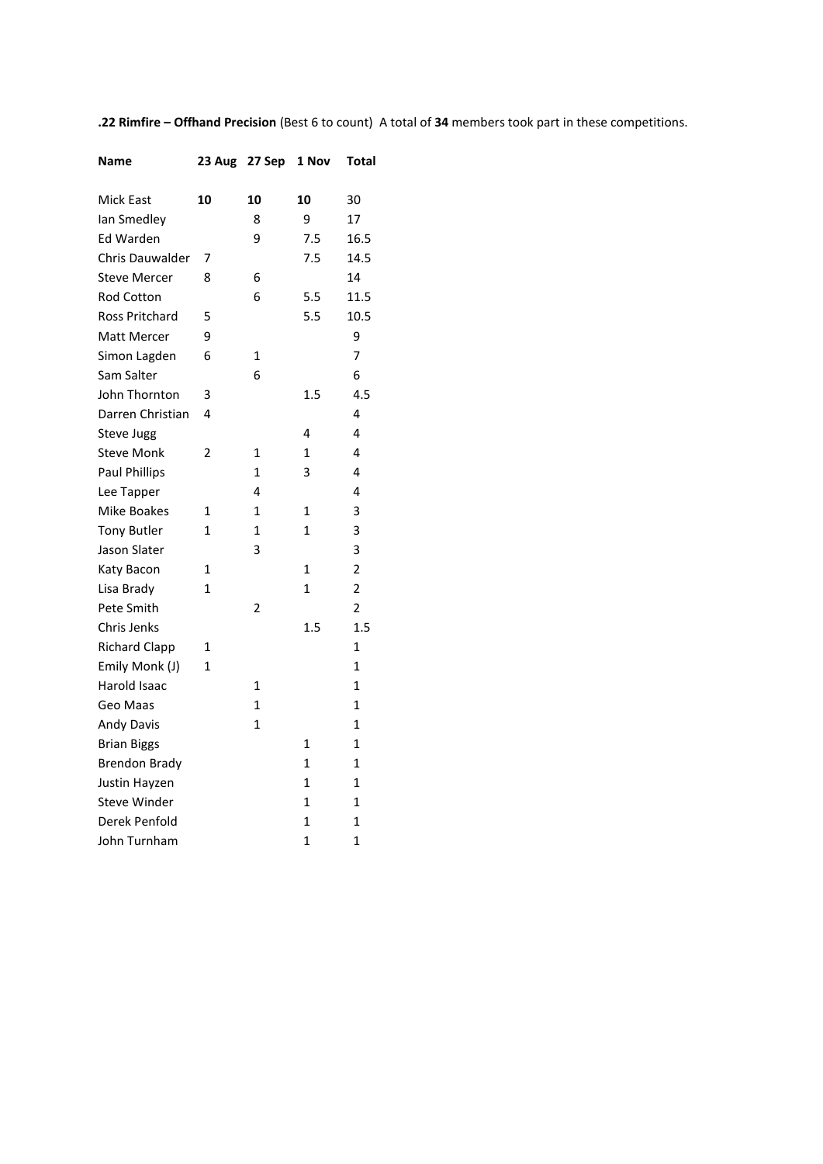**.22 Rimfire – Offhand Precision** (Best 6 to count) A total of **34** members took part in these competitions.

| Name                   | 23 Aug       | 27 Sep       | 1 Nov          | <b>Total</b>   |
|------------------------|--------------|--------------|----------------|----------------|
| <b>Mick East</b>       | 10           | 10           | 10             | 30             |
| Ian Smedley            |              | 8            | 9              | 17             |
| Ed Warden              |              | 9            | 7.5            | 16.5           |
| <b>Chris Dauwalder</b> | 7            |              | 7.5            | 14.5           |
| <b>Steve Mercer</b>    | 8            | 6            |                | 14             |
| <b>Rod Cotton</b>      |              | 6            | 5.5            | 11.5           |
| <b>Ross Pritchard</b>  | 5            |              | 5.5            | 10.5           |
| Matt Mercer            | 9            |              |                | 9              |
| Simon Lagden           | 6            | 1            |                | 7              |
| Sam Salter             |              | 6            |                | 6              |
| John Thornton          | 3            |              | 1.5            | 4.5            |
| Darren Christian       | 4            |              |                | 4              |
| <b>Steve Jugg</b>      |              |              | 4              | 4              |
| <b>Steve Monk</b>      | 2            | 1            | 1              | 4              |
| <b>Paul Phillips</b>   |              | 1            | 3              | 4              |
| Lee Tapper             |              | 4            |                | 4              |
| Mike Boakes            | 1            | $\mathbf{1}$ | 1              | 3              |
| <b>Tony Butler</b>     | 1            | 1            | 1              | 3              |
| Jason Slater           |              | 3            |                | 3              |
| Katy Bacon             | $\mathbf{1}$ |              | $\mathbf{1}$   | $\overline{2}$ |
| Lisa Brady             | $\mathbf{1}$ |              | $\mathbf{1}$   | $\overline{2}$ |
| Pete Smith             |              | 2            |                | $\overline{c}$ |
| Chris Jenks            |              |              | 1.5            | 1.5            |
| <b>Richard Clapp</b>   | 1            |              |                | 1              |
| Emily Monk (J)         | 1            |              |                | 1              |
| Harold Isaac           |              | 1            |                | 1              |
| Geo Maas               |              | 1            |                | 1              |
| <b>Andy Davis</b>      |              | 1            |                | 1              |
| <b>Brian Biggs</b>     |              |              | $\mathbf{1}$   | $\mathbf{1}$   |
| <b>Brendon Brady</b>   |              |              | $\overline{1}$ | $\mathbf{1}$   |
| Justin Hayzen          |              |              | $\mathbf{1}$   | $\mathbf{1}$   |
| <b>Steve Winder</b>    |              |              | 1              | 1              |
| Derek Penfold          |              |              | 1              | 1              |
| John Turnham           |              |              | 1              | 1              |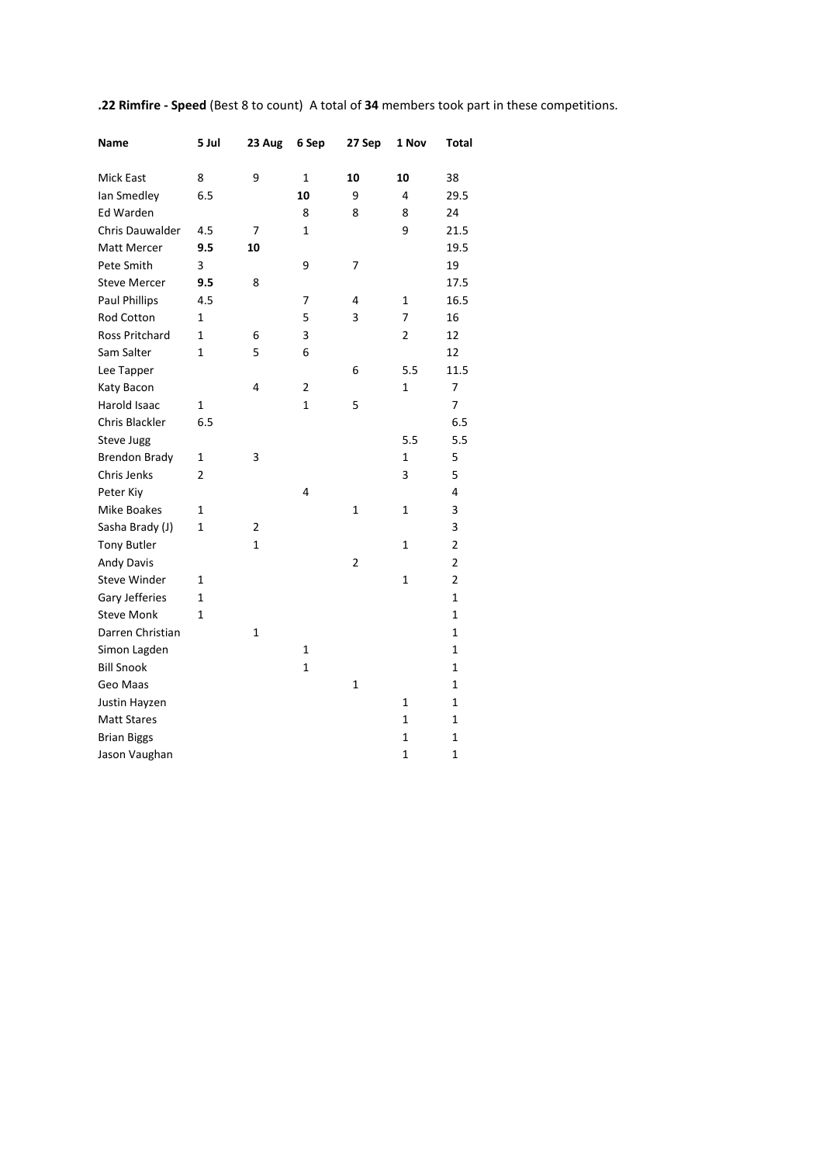| Name                   | 5 Jul        | 23 Aug | 6 Sep          | 27 Sep      | 1 Nov          | Total          |
|------------------------|--------------|--------|----------------|-------------|----------------|----------------|
| Mick East              | 8            | 9      | 1              | 10          | 10             | 38             |
| lan Smedley            | 6.5          |        | 10             | 9           | 4              | 29.5           |
| Ed Warden              |              |        | 8              | 8           | 8              | 24             |
| <b>Chris Dauwalder</b> | 4.5          | 7      | 1              |             | 9              | 21.5           |
| Matt Mercer            | 9.5          | 10     |                |             |                | 19.5           |
| Pete Smith             | 3            |        | 9              | 7           |                | 19             |
| <b>Steve Mercer</b>    | 9.5          | 8      |                |             |                | 17.5           |
| <b>Paul Phillips</b>   | 4.5          |        | 7              | 4           | $\mathbf 1$    | 16.5           |
| Rod Cotton             | 1            |        | 5              | 3           | 7              | 16             |
| Ross Pritchard         | 1            | 6      | 3              |             | $\overline{2}$ | 12             |
| Sam Salter             | 1            | 5      | 6              |             |                | 12             |
| Lee Tapper             |              |        |                | 6           | 5.5            | 11.5           |
| Katy Bacon             |              | 4      | $\overline{2}$ |             | $\mathbf{1}$   | 7              |
| Harold Isaac           | 1            |        | $\mathbf 1$    | 5           |                | 7              |
| Chris Blackler         | 6.5          |        |                |             |                | 6.5            |
| <b>Steve Jugg</b>      |              |        |                |             | 5.5            | 5.5            |
| <b>Brendon Brady</b>   | 1            | 3      |                |             | $\mathbf{1}$   | 5              |
| Chris Jenks            | 2            |        |                |             | 3              | 5              |
| Peter Kiy              |              |        | 4              |             |                | 4              |
| <b>Mike Boakes</b>     | 1            |        |                | $\mathbf 1$ | 1              | 3              |
| Sasha Brady (J)        | 1            | 2      |                |             |                | 3              |
| <b>Tony Butler</b>     |              | 1      |                |             | 1              | $\overline{2}$ |
| Andy Davis             |              |        |                | $\mathbf 2$ |                | $\overline{2}$ |
| <b>Steve Winder</b>    | 1            |        |                |             | 1              | $\overline{2}$ |
| Gary Jefferies         | $\mathbf{1}$ |        |                |             |                | 1              |
| <b>Steve Monk</b>      | 1            |        |                |             |                | $\mathbf 1$    |
| Darren Christian       |              | 1      |                |             |                | 1              |
| Simon Lagden           |              |        | 1              |             |                | 1              |
| <b>Bill Snook</b>      |              |        | $\mathbf 1$    |             |                | $\mathbf{1}$   |
| Geo Maas               |              |        |                | 1           |                | 1              |
| Justin Hayzen          |              |        |                |             | $\mathbf{1}$   | 1              |
| <b>Matt Stares</b>     |              |        |                |             | $\mathbf{1}$   | $\mathbf{1}$   |
| <b>Brian Biggs</b>     |              |        |                |             | $\mathbf{1}$   | $\mathbf{1}$   |
| Jason Vaughan          |              |        |                |             | $\mathbf{1}$   | $\mathbf{1}$   |

**.22 Rimfire - Speed** (Best 8 to count) A total of **34** members took part in these competitions.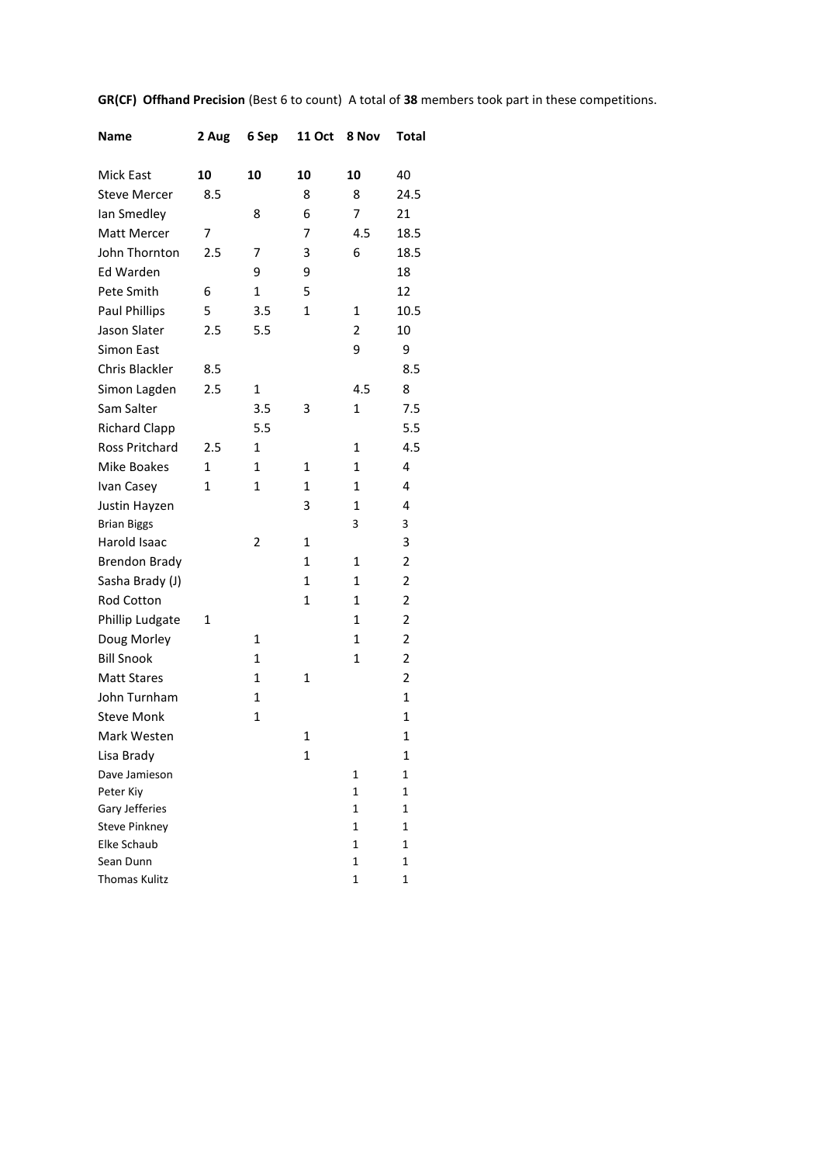| Name                     | 2 Aug | 6 Sep        | 11 Oct       | 8 Nov        | Total          |
|--------------------------|-------|--------------|--------------|--------------|----------------|
| Mick East                | 10    | 10           | 10           | 10           | 40             |
| <b>Steve Mercer</b>      | 8.5   |              | 8            | 8            | 24.5           |
| lan Smedley              |       | 8            | 6            | 7            | 21             |
| Matt Mercer              | 7     |              | 7            | 4.5          | 18.5           |
| John Thornton            | 2.5   | 7            | 3            | 6            | 18.5           |
| Ed Warden                |       | 9            | 9            |              | 18             |
| Pete Smith               | 6     | 1            | 5            |              | 12             |
| <b>Paul Phillips</b>     | 5     | 3.5          | 1            | 1            | 10.5           |
| Jason Slater             | 2.5   | 5.5          |              | 2            | 10             |
| Simon East               |       |              |              | 9            | 9              |
| Chris Blackler           | 8.5   |              |              |              | 8.5            |
| Simon Lagden             | 2.5   | 1            |              | 4.5          | 8              |
| Sam Salter               |       | 3.5          | 3            | 1            | 7.5            |
| <b>Richard Clapp</b>     |       | 5.5          |              |              | 5.5            |
| <b>Ross Pritchard</b>    | 2.5   | $\mathbf{1}$ |              | 1            | 4.5            |
| Mike Boakes              | 1     | 1            | 1            | 1            | 4              |
| Ivan Casey               | 1     | 1            | 1            | 1            | 4              |
| Justin Hayzen            |       |              | 3            | $\mathbf{1}$ | 4              |
| <b>Brian Biggs</b>       |       |              |              | 3            | 3              |
| Harold Isaac             |       | 2            | 1            |              | 3              |
| <b>Brendon Brady</b>     |       |              | $\mathbf{1}$ | 1            | 2              |
| Sasha Brady (J)          |       |              | $\mathbf{1}$ | 1            | $\overline{2}$ |
| Rod Cotton               |       |              | 1            | 1            | 2              |
| Phillip Ludgate          | 1     |              |              | $\mathbf{1}$ | 2              |
| Doug Morley              |       | 1            |              | 1            | 2              |
| <b>Bill Snook</b>        |       | 1            |              | $\mathbf{1}$ | $\overline{2}$ |
| <b>Matt Stares</b>       |       | $\mathbf{1}$ | 1            |              | 2              |
| John Turnham             |       | $\mathbf{1}$ |              |              | 1              |
| <b>Steve Monk</b>        |       | $\mathbf{1}$ |              |              | 1              |
| Mark Westen              |       |              | $\mathbf{1}$ |              | $\mathbf{1}$   |
| Lisa Brady               |       |              | 1            |              | 1              |
| Dave Jamieson            |       |              |              | 1            | 1              |
| Peter Kiy                |       |              |              | 1            | 1              |
| Gary Jefferies           |       |              |              | 1            | 1              |
| <b>Steve Pinkney</b>     |       |              |              | 1            | 1              |
| Elke Schaub<br>Sean Dunn |       |              |              | 1            | 1              |
| <b>Thomas Kulitz</b>     |       |              |              | 1<br>1       | 1<br>1         |
|                          |       |              |              |              |                |

**GR(CF) Offhand Precision** (Best 6 to count) A total of **38** members took part in these competitions.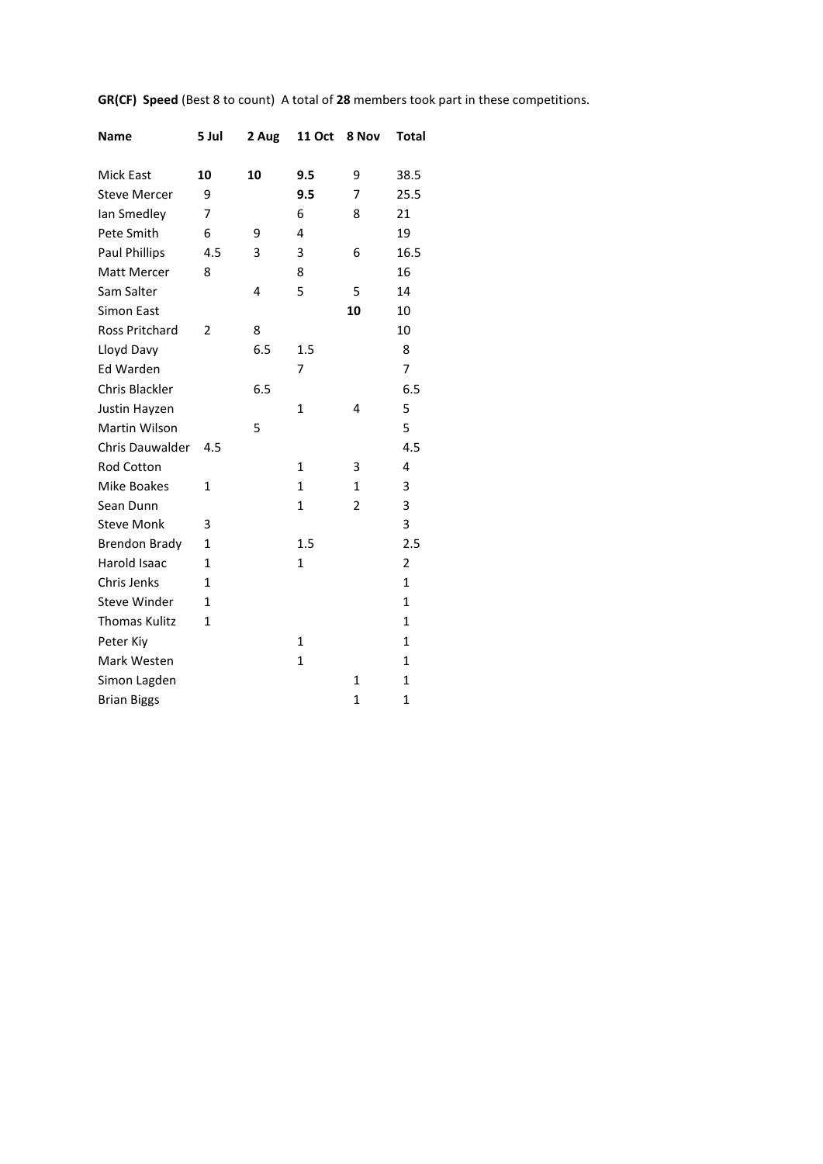| <b>Name</b>            | 5 Jul          | 2 Aug | <b>11 Oct</b> | 8 Nov          | <b>Total</b> |
|------------------------|----------------|-------|---------------|----------------|--------------|
| Mick East              | 10             | 10    | 9.5           | 9              | 38.5         |
| <b>Steve Mercer</b>    | 9              |       | 9.5           | 7              | 25.5         |
| lan Smedley            | 7              |       | 6             | 8              | 21           |
| Pete Smith             | 6              | 9     | 4             |                | 19           |
| <b>Paul Phillips</b>   | 4.5            | 3     | 3             | 6              | 16.5         |
| Matt Mercer            | 8              |       | 8             |                | 16           |
| Sam Salter             |                | 4     | 5             | 5              | 14           |
| <b>Simon East</b>      |                |       |               | 10             | 10           |
| <b>Ross Pritchard</b>  | $\overline{2}$ | 8     |               |                | 10           |
| Lloyd Davy             |                | 6.5   | 1.5           |                | 8            |
| Ed Warden              |                |       | 7             |                | 7            |
| Chris Blackler         |                | 6.5   |               |                | 6.5          |
| Justin Hayzen          |                |       | 1             | 4              | 5            |
| <b>Martin Wilson</b>   |                | 5     |               |                | 5            |
| <b>Chris Dauwalder</b> | 4.5            |       |               |                | 4.5          |
| <b>Rod Cotton</b>      |                |       | $\mathbf{1}$  | 3              | 4            |
| Mike Boakes            | $\mathbf{1}$   |       | $\mathbf{1}$  | $\mathbf{1}$   | 3            |
| Sean Dunn              |                |       | $\mathbf{1}$  | 2              | 3            |
| <b>Steve Monk</b>      | 3              |       |               |                | 3            |
| <b>Brendon Brady</b>   | 1              |       | 1.5           |                | 2.5          |
| Harold Isaac           | 1              |       | $\mathbf{1}$  |                | 2            |
| Chris Jenks            | 1              |       |               |                | 1            |
| <b>Steve Winder</b>    | 1              |       |               |                | 1            |
| <b>Thomas Kulitz</b>   | $\mathbf{1}$   |       |               |                | $\mathbf{1}$ |
| Peter Kiy              |                |       | 1             |                | 1            |
| Mark Westen            |                |       | 1             |                | 1            |
| Simon Lagden           |                |       |               | $\mathbf{1}$   | $\mathbf{1}$ |
| <b>Brian Biggs</b>     |                |       |               | $\overline{1}$ | $\mathbf{1}$ |

**GR(CF) Speed** (Best 8 to count) A total of **28** members took part in these competitions.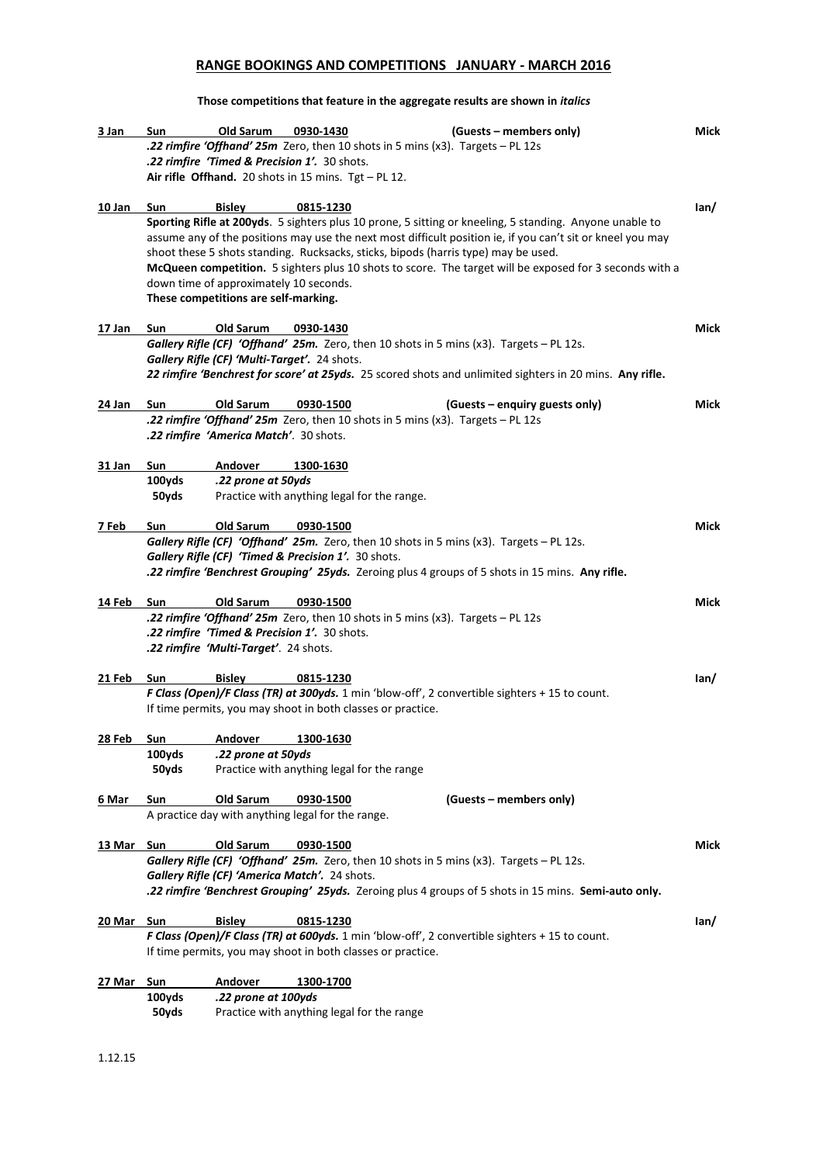## **RANGE BOOKINGS AND COMPETITIONS JANUARY - MARCH 2016**

**Those competitions that feature in the aggregate results are shown in** *italics*

| 3 Jan      | Sun    | Old Sarum                                              | 0930-1430 | (Guests – members only)                                                                                    | Mick |
|------------|--------|--------------------------------------------------------|-----------|------------------------------------------------------------------------------------------------------------|------|
|            |        |                                                        |           | <b>22 rimfire 'Offhand' 25m</b> Zero, then 10 shots in 5 mins (x3). Targets - PL 12s                       |      |
|            |        | .22 rimfire 'Timed & Precision 1'. 30 shots.           |           |                                                                                                            |      |
|            |        | Air rifle Offhand. 20 shots in 15 mins. Tgt $-$ PL 12. |           |                                                                                                            |      |
| 10 Jan     | Sun    | <b>Bisley</b>                                          | 0815-1230 |                                                                                                            | lan/ |
|            |        |                                                        |           | Sporting Rifle at 200yds. 5 sighters plus 10 prone, 5 sitting or kneeling, 5 standing. Anyone unable to    |      |
|            |        |                                                        |           | assume any of the positions may use the next most difficult position ie, if you can't sit or kneel you may |      |
|            |        |                                                        |           | shoot these 5 shots standing. Rucksacks, sticks, bipods (harris type) may be used.                         |      |
|            |        |                                                        |           | McQueen competition. 5 sighters plus 10 shots to score. The target will be exposed for 3 seconds with a    |      |
|            |        | down time of approximately 10 seconds.                 |           |                                                                                                            |      |
|            |        | These competitions are self-marking.                   |           |                                                                                                            |      |
| 17 Jan     | Sun    | Old Sarum                                              | 0930-1430 |                                                                                                            | Mick |
|            |        |                                                        |           | Gallery Rifle (CF) 'Offhand' 25m. Zero, then 10 shots in 5 mins (x3). Targets - PL 12s.                    |      |
|            |        | Gallery Rifle (CF) 'Multi-Target'. 24 shots.           |           |                                                                                                            |      |
|            |        |                                                        |           | 22 rimfire 'Benchrest for score' at 25yds. 25 scored shots and unlimited sighters in 20 mins. Any rifle.   |      |
| 24 Jan     | Sun    | <b>Old Sarum</b>                                       | 0930-1500 | (Guests – enquiry guests only)                                                                             | Mick |
|            |        |                                                        |           | <b>22 rimfire 'Offhand' 25m</b> Zero, then 10 shots in 5 mins (x3). Targets - PL 12s                       |      |
|            |        | .22 rimfire 'America Match'. 30 shots.                 |           |                                                                                                            |      |
| 31 Jan     | Sun    | Andover                                                | 1300-1630 |                                                                                                            |      |
|            | 100yds | .22 prone at 50yds                                     |           |                                                                                                            |      |
|            | 50yds  |                                                        |           | Practice with anything legal for the range.                                                                |      |
|            |        |                                                        |           |                                                                                                            |      |
| 7 Feb      | Sun    | Old Sarum                                              | 0930-1500 |                                                                                                            | Mick |
|            |        | Gallery Rifle (CF) 'Timed & Precision 1'. 30 shots.    |           | Gallery Rifle (CF) 'Offhand' 25m. Zero, then 10 shots in 5 mins (x3). Targets - PL 12s.                    |      |
|            |        |                                                        |           | .22 rimfire 'Benchrest Grouping' 25yds. Zeroing plus 4 groups of 5 shots in 15 mins. Any rifle.            |      |
| 14 Feb     | Sun    | Old Sarum                                              | 0930-1500 |                                                                                                            | Mick |
|            |        |                                                        |           | <b>.22 rimfire 'Offhand' 25m</b> Zero, then 10 shots in 5 mins (x3). Targets - PL 12s                      |      |
|            |        | .22 rimfire 'Timed & Precision 1'. 30 shots.           |           |                                                                                                            |      |
|            |        | .22 rimfire 'Multi-Target'. 24 shots.                  |           |                                                                                                            |      |
| 21 Feb     | Sun    | <b>Bisley</b>                                          | 0815-1230 |                                                                                                            | lan/ |
|            |        |                                                        |           | F Class (Open)/F Class (TR) at 300yds. 1 min 'blow-off', 2 convertible sighters + 15 to count.             |      |
|            |        |                                                        |           | If time permits, you may shoot in both classes or practice.                                                |      |
| 28 Feb     | Sun    | Andover                                                | 1300-1630 |                                                                                                            |      |
|            | 100yds | .22 prone at 50yds                                     |           |                                                                                                            |      |
|            | 50yds  |                                                        |           | Practice with anything legal for the range                                                                 |      |
| 6 Mar      | Sun    | Old Sarum                                              | 0930-1500 | (Guests – members only)                                                                                    |      |
|            |        | A practice day with anything legal for the range.      |           |                                                                                                            |      |
|            |        |                                                        |           |                                                                                                            |      |
| 13 Mar Sun |        | Old Sarum                                              | 0930-1500 |                                                                                                            | Mick |
|            |        |                                                        |           | Gallery Rifle (CF) 'Offhand' 25m. Zero, then 10 shots in 5 mins (x3). Targets - PL 12s.                    |      |
|            |        | Gallery Rifle (CF) 'America Match'. 24 shots.          |           |                                                                                                            |      |
|            |        |                                                        |           | .22 rimfire 'Benchrest Grouping' 25yds. Zeroing plus 4 groups of 5 shots in 15 mins. Semi-auto only.       |      |
| 20 Mar Sun |        | <b>Bisley</b>                                          | 0815-1230 |                                                                                                            | lan/ |
|            |        |                                                        |           | F Class (Open)/F Class (TR) at 600yds. 1 min 'blow-off', 2 convertible sighters + 15 to count.             |      |
|            |        |                                                        |           | If time permits, you may shoot in both classes or practice.                                                |      |
| 27 Mar Sun |        | Andover                                                | 1300-1700 |                                                                                                            |      |
|            | 100yds | .22 prone at 100yds                                    |           |                                                                                                            |      |
|            | 50yds  |                                                        |           | Practice with anything legal for the range                                                                 |      |
|            |        |                                                        |           |                                                                                                            |      |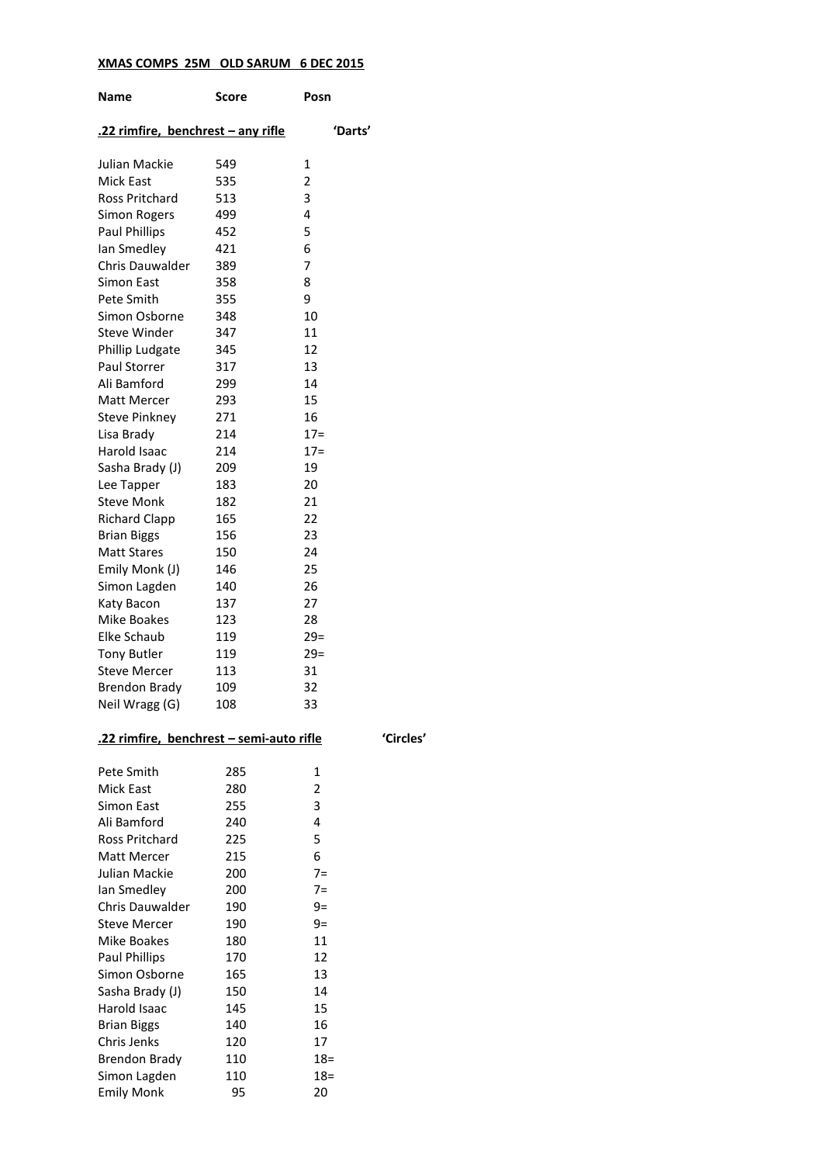## **XMAS COMPS 25M OLD SARUM 6 DEC 2015**

| Name                                     | Score | Posn           |
|------------------------------------------|-------|----------------|
| .22 rimfire, benchrest - any rifle       |       | 'Darts'        |
| Julian Mackie                            | 549   | 1              |
| <b>Mick East</b>                         | 535   | $\overline{2}$ |
| Ross Pritchard                           | 513   | 3              |
| <b>Simon Rogers</b>                      | 499   | 4              |
| <b>Paul Phillips</b>                     | 452   | 5              |
| lan Smedley                              | 421   | 6              |
| Chris Dauwalder                          | 389   | 7              |
| Simon East                               | 358   | 8              |
| Pete Smith                               | 355   | 9              |
| Simon Osborne                            | 348   | 10             |
| <b>Steve Winder</b>                      | 347   | 11             |
| Phillip Ludgate                          | 345   | 12             |
| Paul Storrer                             | 317   | 13             |
| Ali Bamford                              | 299   | 14             |
| Matt Mercer                              | 293   | 15             |
| Steve Pinkney                            | 271   | 16             |
| Lisa Brady                               | 214   | $17=$          |
| Harold Isaac                             | 214   | $17=$          |
| Sasha Brady (J)                          | 209   | 19             |
| Lee Tapper                               | 183   | 20             |
| <b>Steve Monk</b>                        | 182   | 21             |
| <b>Richard Clapp</b>                     | 165   | 22             |
| <b>Brian Biggs</b>                       | 156   | 23             |
| <b>Matt Stares</b>                       | 150   | 24             |
| Emily Monk (J)                           | 146   | 25             |
| Simon Lagden                             | 140   | 26             |
| Katy Bacon                               | 137   | 27             |
| Mike Boakes                              | 123   | 28             |
| Elke Schaub                              | 119   | $29=$          |
| <b>Tony Butler</b>                       | 119   | $29=$          |
| <b>Steve Mercer</b>                      | 113   | 31             |
| <b>Brendon Brady</b>                     | 109   | 32             |
| Neil Wragg (G)                           | 108   | 33             |
| .22 rimfire, benchrest - semi-auto rifle |       |                |
| Pete Smith                               | 285   | 1              |
| Mick East                                | 280   | 2              |
| Simon East                               | 255   | 3              |
| Ali Bamford                              | 240   | 4              |
| <b>Ross Pritchard</b>                    | 225   | 5              |
| Matt Mercer                              | 215   | 6              |
| Julian Mackie                            | 200   | $7=$           |
| lan Smedley                              | 200   | $7=$           |
| Chris Dauwalder                          | 190   | $9 =$          |
| <b>Steve Mercer</b>                      | 190   | 9=             |
| Mike Boakes                              | 180   | 11             |
| <b>Paul Phillips</b>                     | 170   | 12             |
| Simon Osborne                            | 165   | 13             |
| Sasha Brady (J)                          | 150   | 14             |
| Harold Isaac                             | 145   | 15             |
| <b>Brian Biggs</b>                       | 140   | 16             |
| Chris Jenks                              | 120   | 17             |
| <b>Brendon Brady</b>                     | 110   | $18 =$         |
| Simon Lagden                             | 110   | $18 =$         |
| <b>Emily Monk</b>                        | 95    | 20             |

**.22 rimfire, benchrest – semi-auto rifle 'Circles'**